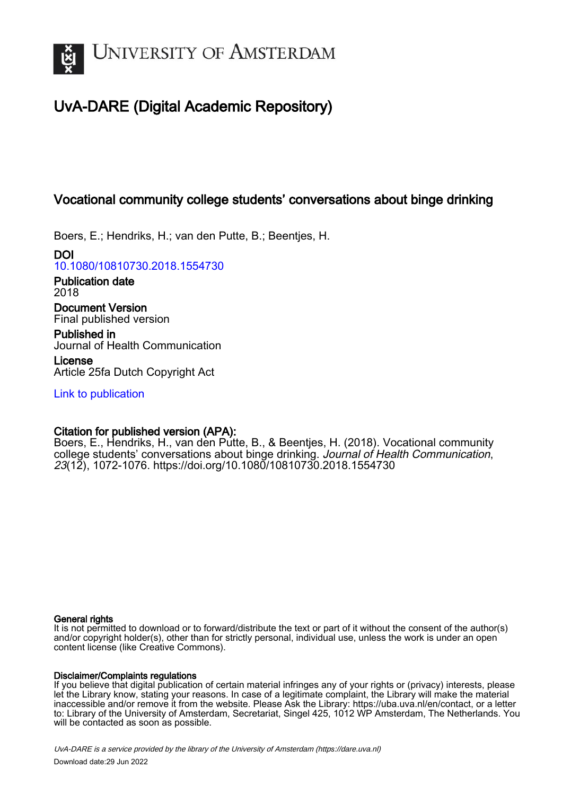

## UvA-DARE (Digital Academic Repository)

## Vocational community college students' conversations about binge drinking

Boers, E.; Hendriks, H.; van den Putte, B.; Beentjes, H.

DOI [10.1080/10810730.2018.1554730](https://doi.org/10.1080/10810730.2018.1554730)

Publication date 2018

Document Version Final published version

Published in Journal of Health Communication

License Article 25fa Dutch Copyright Act

[Link to publication](https://dare.uva.nl/personal/pure/en/publications/vocational-community-college-students-conversations-about-binge-drinking(d4f90f0b-9dc1-487b-a50e-b59981def8d3).html)

### Citation for published version (APA):

Boers, E., Hendriks, H., van den Putte, B., & Beentjes, H. (2018). Vocational community college students' conversations about binge drinking. Journal of Health Communication, 23(12), 1072-1076.<https://doi.org/10.1080/10810730.2018.1554730>

#### General rights

It is not permitted to download or to forward/distribute the text or part of it without the consent of the author(s) and/or copyright holder(s), other than for strictly personal, individual use, unless the work is under an open content license (like Creative Commons).

#### Disclaimer/Complaints regulations

If you believe that digital publication of certain material infringes any of your rights or (privacy) interests, please let the Library know, stating your reasons. In case of a legitimate complaint, the Library will make the material inaccessible and/or remove it from the website. Please Ask the Library: https://uba.uva.nl/en/contact, or a letter to: Library of the University of Amsterdam, Secretariat, Singel 425, 1012 WP Amsterdam, The Netherlands. You will be contacted as soon as possible.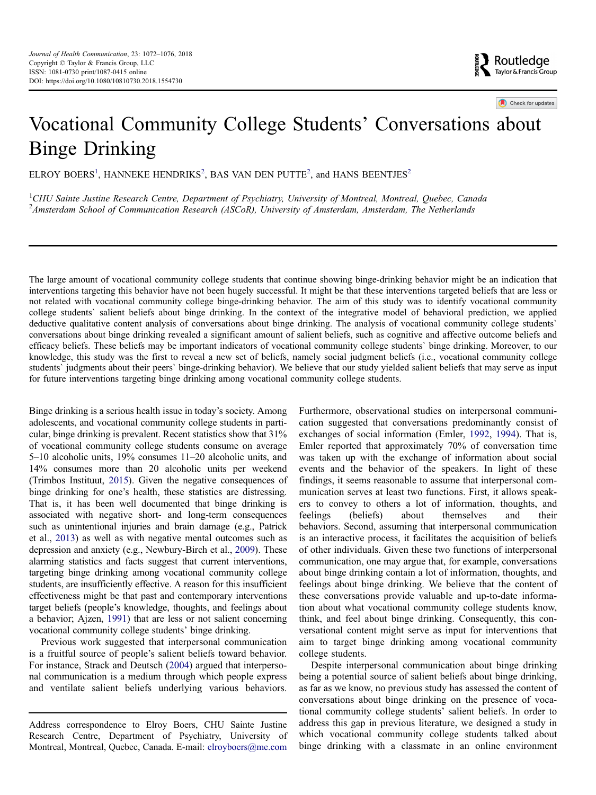Routledge Taylor & Francis Group

Check for updates

# Vocational Community College Students' Conversations about Binge Drinking

ELROY BOERS<sup>[1](#page-1-0)</sup>, HANNEKE HENDRIKS<sup>[2](#page-1-1)</sup>, BAS VAN DEN PUTTE<sup>2</sup>, and HANS BEENTJES<sup>2</sup>

<span id="page-1-1"></span><span id="page-1-0"></span><sup>1</sup>CHU Sainte Justine Research Centre, Department of Psychiatry, University of Montreal, Montreal, Quebec, Canada 2 Amsterdam School of Communication Research (ASCoR), University of Amsterdam, Amsterdam, The Netherlands

The large amount of vocational community college students that continue showing binge-drinking behavior might be an indication that interventions targeting this behavior have not been hugely successful. It might be that these interventions targeted beliefs that are less or not related with vocational community college binge-drinking behavior. The aim of this study was to identify vocational community college students` salient beliefs about binge drinking. In the context of the integrative model of behavioral prediction, we applied deductive qualitative content analysis of conversations about binge drinking. The analysis of vocational community college students` conversations about binge drinking revealed a significant amount of salient beliefs, such as cognitive and affective outcome beliefs and efficacy beliefs. These beliefs may be important indicators of vocational community college students` binge drinking. Moreover, to our knowledge, this study was the first to reveal a new set of beliefs, namely social judgment beliefs (i.e., vocational community college students` judgments about their peers` binge-drinking behavior). We believe that our study yielded salient beliefs that may serve as input for future interventions targeting binge drinking among vocational community college students.

<span id="page-1-7"></span>Binge drinking is a serious health issue in today's society. Among adolescents, and vocational community college students in particular, binge drinking is prevalent. Recent statistics show that 31% of vocational community college students consume on average 5–10 alcoholic units, 19% consumes 11–20 alcoholic units, and 14% consumes more than 20 alcoholic units per weekend (Trimbos Instituut, [2015](#page-5-0)). Given the negative consequences of binge drinking for one's health, these statistics are distressing. That is, it has been well documented that binge drinking is associated with negative short- and long-term consequences such as unintentional injuries and brain damage (e.g., Patrick et al., [2013\)](#page-5-1) as well as with negative mental outcomes such as depression and anxiety (e.g., Newbury-Birch et al., [2009\)](#page-5-2). These alarming statistics and facts suggest that current interventions, targeting binge drinking among vocational community college students, are insufficiently effective. A reason for this insufficient effectiveness might be that past and contemporary interventions target beliefs (people's knowledge, thoughts, and feelings about a behavior; Ajzen, [1991](#page-5-3)) that are less or not salient concerning vocational community college students' binge drinking.

<span id="page-1-6"></span><span id="page-1-5"></span><span id="page-1-4"></span><span id="page-1-2"></span>Previous work suggested that interpersonal communication is a fruitful source of people's salient beliefs toward behavior. For instance, Strack and Deutsch ([2004\)](#page-5-4) argued that interpersonal communication is a medium through which people express and ventilate salient beliefs underlying various behaviors.

Address correspondence to Elroy Boers, CHU Sainte Justine Research Centre, Department of Psychiatry, University of Montreal, Montreal, Quebec, Canada. E-mail: elroyboers@me.com <span id="page-1-3"></span>Furthermore, observational studies on interpersonal communication suggested that conversations predominantly consist of exchanges of social information (Emler, [1992,](#page-5-5) [1994](#page-5-6)). That is, Emler reported that approximately 70% of conversation time was taken up with the exchange of information about social events and the behavior of the speakers. In light of these findings, it seems reasonable to assume that interpersonal communication serves at least two functions. First, it allows speakers to convey to others a lot of information, thoughts, and feelings (beliefs) about themselves and their behaviors. Second, assuming that interpersonal communication is an interactive process, it facilitates the acquisition of beliefs of other individuals. Given these two functions of interpersonal communication, one may argue that, for example, conversations about binge drinking contain a lot of information, thoughts, and feelings about binge drinking. We believe that the content of these conversations provide valuable and up-to-date information about what vocational community college students know, think, and feel about binge drinking. Consequently, this conversational content might serve as input for interventions that aim to target binge drinking among vocational community college students.

Despite interpersonal communication about binge drinking being a potential source of salient beliefs about binge drinking, as far as we know, no previous study has assessed the content of conversations about binge drinking on the presence of vocational community college students' salient beliefs. In order to address this gap in previous literature, we designed a study in which vocational community college students talked about binge drinking with a classmate in an online environment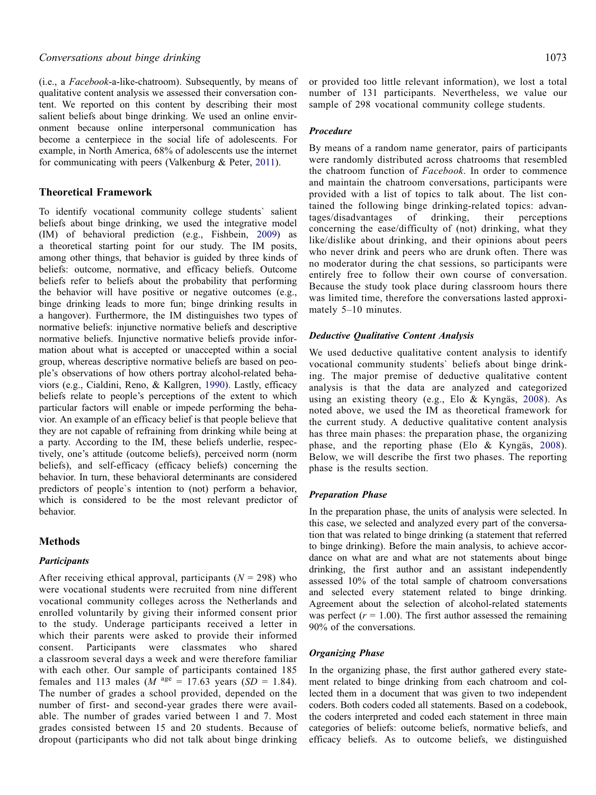#### Conversations about binge drinking 1073

(i.e., a Facebook-a-like-chatroom). Subsequently, by means of qualitative content analysis we assessed their conversation content. We reported on this content by describing their most salient beliefs about binge drinking. We used an online environment because online interpersonal communication has become a centerpiece in the social life of adolescents. For example, in North America, 68% of adolescents use the internet for communicating with peers (Valkenburg & Peter, [2011](#page-5-7)).

#### <span id="page-2-3"></span>Theoretical Framework

<span id="page-2-2"></span>To identify vocational community college students` salient beliefs about binge drinking, we used the integrative model (IM) of behavioral prediction (e.g., Fishbein, [2009\)](#page-5-8) as a theoretical starting point for our study. The IM posits, among other things, that behavior is guided by three kinds of beliefs: outcome, normative, and efficacy beliefs. Outcome beliefs refer to beliefs about the probability that performing the behavior will have positive or negative outcomes (e.g., binge drinking leads to more fun; binge drinking results in a hangover). Furthermore, the IM distinguishes two types of normative beliefs: injunctive normative beliefs and descriptive normative beliefs. Injunctive normative beliefs provide information about what is accepted or unaccepted within a social group, whereas descriptive normative beliefs are based on people's observations of how others portray alcohol-related behaviors (e.g., Cialdini, Reno, & Kallgren, [1990](#page-5-9)). Lastly, efficacy beliefs relate to people's perceptions of the extent to which particular factors will enable or impede performing the behavior. An example of an efficacy belief is that people believe that they are not capable of refraining from drinking while being at a party. According to the IM, these beliefs underlie, respectively, one's attitude (outcome beliefs), perceived norm (norm beliefs), and self-efficacy (efficacy beliefs) concerning the behavior. In turn, these behavioral determinants are considered predictors of people`s intention to (not) perform a behavior, which is considered to be the most relevant predictor of behavior.

#### <span id="page-2-0"></span>Methods

#### **Participants**

After receiving ethical approval, participants ( $N = 298$ ) who were vocational students were recruited from nine different vocational community colleges across the Netherlands and enrolled voluntarily by giving their informed consent prior to the study. Underage participants received a letter in which their parents were asked to provide their informed consent. Participants were classmates who shared a classroom several days a week and were therefore familiar with each other. Our sample of participants contained 185 females and 113 males ( $M$ <sup>age</sup> = 17.63 years ( $SD = 1.84$ ). The number of grades a school provided, depended on the number of first- and second-year grades there were available. The number of grades varied between 1 and 7. Most grades consisted between 15 and 20 students. Because of dropout (participants who did not talk about binge drinking

or provided too little relevant information), we lost a total number of 131 participants. Nevertheless, we value our sample of 298 vocational community college students.

#### Procedure

By means of a random name generator, pairs of participants were randomly distributed across chatrooms that resembled the chatroom function of Facebook. In order to commence and maintain the chatroom conversations, participants were provided with a list of topics to talk about. The list contained the following binge drinking-related topics: advantages/disadvantages of drinking, their perceptions concerning the ease/difficulty of (not) drinking, what they like/dislike about drinking, and their opinions about peers who never drink and peers who are drunk often. There was no moderator during the chat sessions, so participants were entirely free to follow their own course of conversation. Because the study took place during classroom hours there was limited time, therefore the conversations lasted approximately 5–10 minutes.

#### Deductive Qualitative Content Analysis

We used deductive qualitative content analysis to identify vocational community students` beliefs about binge drinking. The major premise of deductive qualitative content analysis is that the data are analyzed and categorized using an existing theory (e.g., Elo & Kyngäs, [2008](#page-5-10)). As noted above, we used the IM as theoretical framework for the current study. A deductive qualitative content analysis has three main phases: the preparation phase, the organizing phase, and the reporting phase (Elo & Kyngäs, [2008](#page-5-10)). Below, we will describe the first two phases. The reporting phase is the results section.

#### <span id="page-2-1"></span>Preparation Phase

In the preparation phase, the units of analysis were selected. In this case, we selected and analyzed every part of the conversation that was related to binge drinking (a statement that referred to binge drinking). Before the main analysis, to achieve accordance on what are and what are not statements about binge drinking, the first author and an assistant independently assessed 10% of the total sample of chatroom conversations and selected every statement related to binge drinking. Agreement about the selection of alcohol-related statements was perfect ( $r = 1.00$ ). The first author assessed the remaining 90% of the conversations.

#### Organizing Phase

In the organizing phase, the first author gathered every statement related to binge drinking from each chatroom and collected them in a document that was given to two independent coders. Both coders coded all statements. Based on a codebook, the coders interpreted and coded each statement in three main categories of beliefs: outcome beliefs, normative beliefs, and efficacy beliefs. As to outcome beliefs, we distinguished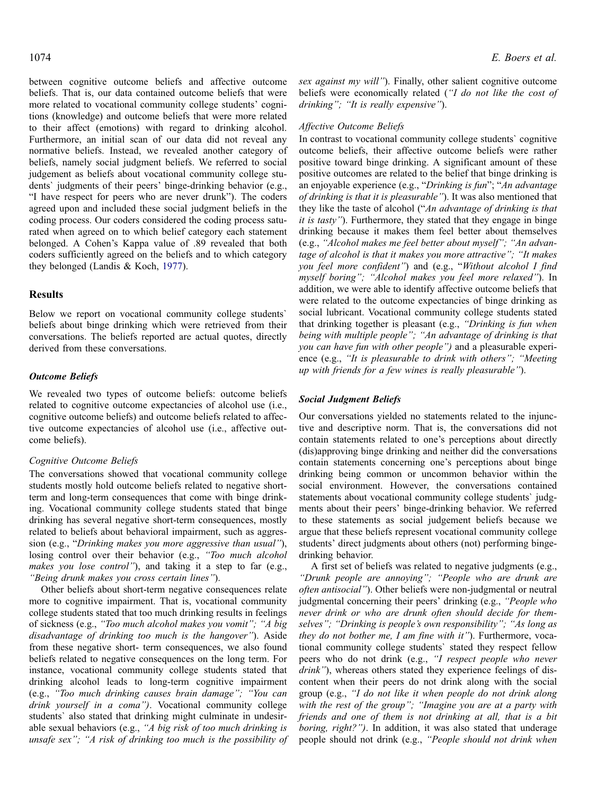between cognitive outcome beliefs and affective outcome beliefs. That is, our data contained outcome beliefs that were more related to vocational community college students' cognitions (knowledge) and outcome beliefs that were more related to their affect (emotions) with regard to drinking alcohol. Furthermore, an initial scan of our data did not reveal any normative beliefs. Instead, we revealed another category of beliefs, namely social judgment beliefs. We referred to social judgement as beliefs about vocational community college students` judgments of their peers' binge-drinking behavior (e.g., "I have respect for peers who are never drunk"). The coders agreed upon and included these social judgment beliefs in the coding process. Our coders considered the coding process saturated when agreed on to which belief category each statement belonged. A Cohen's Kappa value of .89 revealed that both coders sufficiently agreed on the beliefs and to which category they belonged (Landis & Koch, [1977\)](#page-5-11).

#### <span id="page-3-0"></span>Results

Below we report on vocational community college students` beliefs about binge drinking which were retrieved from their conversations. The beliefs reported are actual quotes, directly derived from these conversations.

#### Outcome Beliefs

We revealed two types of outcome beliefs: outcome beliefs related to cognitive outcome expectancies of alcohol use (i.e., cognitive outcome beliefs) and outcome beliefs related to affective outcome expectancies of alcohol use (i.e., affective outcome beliefs).

#### Cognitive Outcome Beliefs

The conversations showed that vocational community college students mostly hold outcome beliefs related to negative shortterm and long-term consequences that come with binge drinking. Vocational community college students stated that binge drinking has several negative short-term consequences, mostly related to beliefs about behavioral impairment, such as aggression (e.g., "Drinking makes you more aggressive than usual"), losing control over their behavior (e.g., "Too much alcohol makes you lose control"), and taking it a step to far (e.g., "Being drunk makes you cross certain lines").

Other beliefs about short-term negative consequences relate more to cognitive impairment. That is, vocational community college students stated that too much drinking results in feelings of sickness (e.g., "Too much alcohol makes you vomit"; "A big disadvantage of drinking too much is the hangover"). Aside from these negative short- term consequences, we also found beliefs related to negative consequences on the long term. For instance, vocational community college students stated that drinking alcohol leads to long-term cognitive impairment (e.g., "Too much drinking causes brain damage"; "You can drink yourself in a coma"). Vocational community college students` also stated that drinking might culminate in undesirable sexual behaviors (e.g., "A big risk of too much drinking is unsafe sex"; "A risk of drinking too much is the possibility of sex against my will"). Finally, other salient cognitive outcome beliefs were economically related ("I do not like the cost of drinking"; "It is really expensive").

#### Affective Outcome Beliefs

In contrast to vocational community college students` cognitive outcome beliefs, their affective outcome beliefs were rather positive toward binge drinking. A significant amount of these positive outcomes are related to the belief that binge drinking is an enjoyable experience (e.g., "Drinking is fun"; "An advantage of drinking is that it is pleasurable"). It was also mentioned that they like the taste of alcohol ("An advantage of drinking is that it is tasty"). Furthermore, they stated that they engage in binge drinking because it makes them feel better about themselves (e.g., "Alcohol makes me feel better about myself"; "An advantage of alcohol is that it makes you more attractive"; "It makes you feel more confident") and (e.g., "Without alcohol I find myself boring"; "Alcohol makes you feel more relaxed"). In addition, we were able to identify affective outcome beliefs that were related to the outcome expectancies of binge drinking as social lubricant. Vocational community college students stated that drinking together is pleasant (e.g., "Drinking is fun when being with multiple people"; "An advantage of drinking is that you can have fun with other people") and a pleasurable experience (e.g., "It is pleasurable to drink with others"; "Meeting up with friends for a few wines is really pleasurable").

#### Social Judgment Beliefs

Our conversations yielded no statements related to the injunctive and descriptive norm. That is, the conversations did not contain statements related to one's perceptions about directly (dis)approving binge drinking and neither did the conversations contain statements concerning one's perceptions about binge drinking being common or uncommon behavior within the social environment. However, the conversations contained statements about vocational community college students` judgments about their peers' binge-drinking behavior. We referred to these statements as social judgement beliefs because we argue that these beliefs represent vocational community college students' direct judgments about others (not) performing bingedrinking behavior.

A first set of beliefs was related to negative judgments (e.g., "Drunk people are annoying"; "People who are drunk are often antisocial"). Other beliefs were non-judgmental or neutral judgmental concerning their peers' drinking (e.g., "People who never drink or who are drunk often should decide for themselves"; "Drinking is people's own responsibility"; "As long as they do not bother me, I am fine with it"). Furthermore, vocational community college students` stated they respect fellow peers who do not drink (e.g., "I respect people who never drink"), whereas others stated they experience feelings of discontent when their peers do not drink along with the social group (e.g., "I do not like it when people do not drink along with the rest of the group"; "Imagine you are at a party with friends and one of them is not drinking at all, that is a bit boring, right?"). In addition, it was also stated that underage people should not drink (e.g., "People should not drink when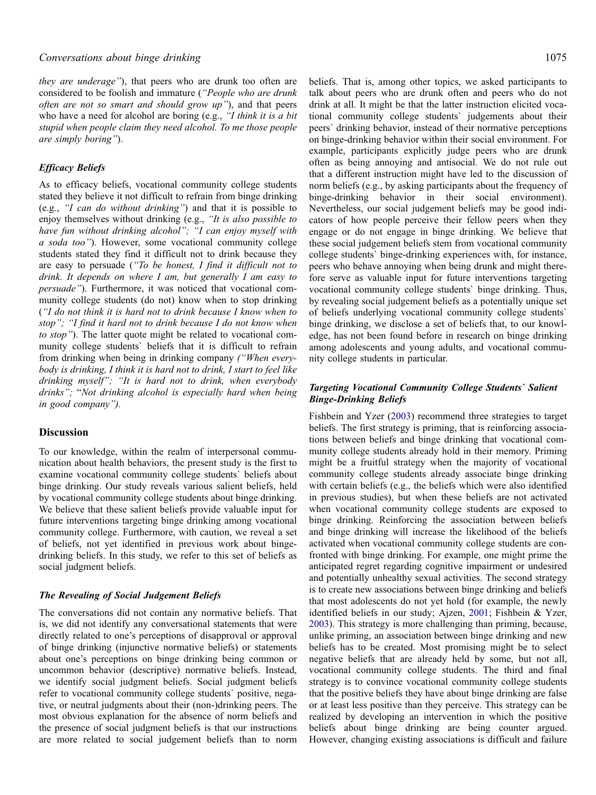they are underage"), that peers who are drunk too often are considered to be foolish and immature ("People who are drunk often are not so smart and should grow up"), and that peers who have a need for alcohol are boring (e.g., "I think it is a bit stupid when people claim they need alcohol. To me those people are simply boring").

#### Efficacy Beliefs

As to efficacy beliefs, vocational community college students stated they believe it not difficult to refrain from binge drinking (e.g., "I can do without drinking") and that it is possible to enjoy themselves without drinking (e.g., "It is also possible to have fun without drinking alcohol"; "I can enjoy myself with a soda too"). However, some vocational community college students stated they find it difficult not to drink because they are easy to persuade ("To be honest, I find it difficult not to drink. It depends on where I am, but generally I am easy to persuade"). Furthermore, it was noticed that vocational community college students (do not) know when to stop drinking ("I do not think it is hard not to drink because I know when to stop"; "I find it hard not to drink because I do not know when to stop"). The latter quote might be related to vocational community college students` beliefs that it is difficult to refrain from drinking when being in drinking company ("When everybody is drinking, I think it is hard not to drink, I start to feel like drinking myself"; "It is hard not to drink, when everybody drinks"; "Not drinking alcohol is especially hard when being in good company").

#### Discussion

To our knowledge, within the realm of interpersonal communication about health behaviors, the present study is the first to examine vocational community college students` beliefs about binge drinking. Our study reveals various salient beliefs, held by vocational community college students about binge drinking. We believe that these salient beliefs provide valuable input for future interventions targeting binge drinking among vocational community college. Furthermore, with caution, we reveal a set of beliefs, not yet identified in previous work about bingedrinking beliefs. In this study, we refer to this set of beliefs as social judgment beliefs.

#### The Revealing of Social Judgement Beliefs

The conversations did not contain any normative beliefs. That is, we did not identify any conversational statements that were directly related to one's perceptions of disapproval or approval of binge drinking (injunctive normative beliefs) or statements about one's perceptions on binge drinking being common or uncommon behavior (descriptive) normative beliefs. Instead, we identify social judgment beliefs. Social judgment beliefs refer to vocational community college students` positive, negative, or neutral judgments about their (non-)drinking peers. The most obvious explanation for the absence of norm beliefs and the presence of social judgment beliefs is that our instructions are more related to social judgement beliefs than to norm beliefs. That is, among other topics, we asked participants to talk about peers who are drunk often and peers who do not drink at all. It might be that the latter instruction elicited vocational community college students` judgements about their peers` drinking behavior, instead of their normative perceptions on binge-drinking behavior within their social environment. For example, participants explicitly judge peers who are drunk often as being annoying and antisocial. We do not rule out that a different instruction might have led to the discussion of norm beliefs (e.g., by asking participants about the frequency of binge-drinking behavior in their social environment). Nevertheless, our social judgement beliefs may be good indicators of how people perceive their fellow peers when they engage or do not engage in binge drinking. We believe that these social judgement beliefs stem from vocational community college students` binge-drinking experiences with, for instance, peers who behave annoying when being drunk and might therefore serve as valuable input for future interventions targeting vocational community college students` binge drinking. Thus, by revealing social judgement beliefs as a potentially unique set of beliefs underlying vocational community college students` binge drinking, we disclose a set of beliefs that, to our knowledge, has not been found before in research on binge drinking among adolescents and young adults, and vocational community college students in particular.

#### Targeting Vocational Community College Students` Salient Binge-Drinking Beliefs

<span id="page-4-0"></span>Fishbein and Yzer ([2003\)](#page-5-12) recommend three strategies to target beliefs. The first strategy is priming, that is reinforcing associations between beliefs and binge drinking that vocational community college students already hold in their memory. Priming might be a fruitful strategy when the majority of vocational community college students already associate binge drinking with certain beliefs (e.g., the beliefs which were also identified in previous studies), but when these beliefs are not activated when vocational community college students are exposed to binge drinking. Reinforcing the association between beliefs and binge drinking will increase the likelihood of the beliefs activated when vocational community college students are confronted with binge drinking. For example, one might prime the anticipated regret regarding cognitive impairment or undesired and potentially unhealthy sexual activities. The second strategy is to create new associations between binge drinking and beliefs that most adolescents do not yet hold (for example, the newly identified beliefs in our study; Ajzen, [2001](#page-5-13); Fishbein & Yzer, [2003\)](#page-5-12). This strategy is more challenging than priming, because, unlike priming, an association between binge drinking and new beliefs has to be created. Most promising might be to select negative beliefs that are already held by some, but not all, vocational community college students. The third and final strategy is to convince vocational community college students that the positive beliefs they have about binge drinking are false or at least less positive than they perceive. This strategy can be realized by developing an intervention in which the positive beliefs about binge drinking are being counter argued. However, changing existing associations is difficult and failure